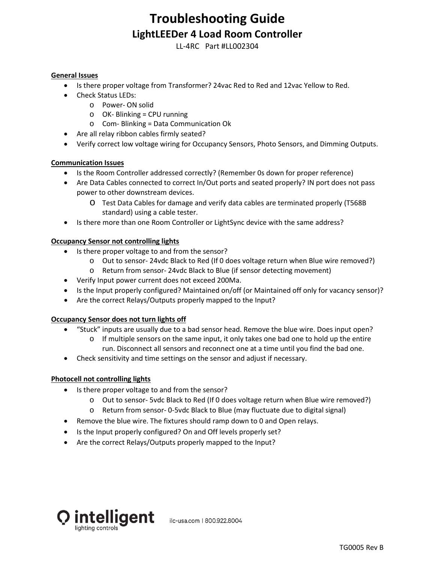# **Troubleshooting Guide LightLEEDer 4 Load Room Controller**

LL-4RC Part #LL002304

#### **General Issues**

- Is there proper voltage from Transformer? 24vac Red to Red and 12vac Yellow to Red.
- Check Status LEDs:
	- o Power- ON solid
	- $\circ$  OK- Blinking = CPU running
	- o Com- Blinking = Data Communication Ok
- Are all relay ribbon cables firmly seated?
- Verify correct low voltage wiring for Occupancy Sensors, Photo Sensors, and Dimming Outputs.

### **Communication Issues**

- Is the Room Controller addressed correctly? (Remember 0s down for proper reference)
- Are Data Cables connected to correct In/Out ports and seated properly? IN port does not pass power to other downstream devices.
	- o Test Data Cables for damage and verify data cables are terminated properly (T568B standard) using a cable tester.
- Is there more than one Room Controller or LightSync device with the same address?

#### **Occupancy Sensor not controlling lights**

- Is there proper voltage to and from the sensor?
	- o Out to sensor- 24vdc Black to Red (If 0 does voltage return when Blue wire removed?)
	- o Return from sensor- 24vdc Black to Blue (if sensor detecting movement)
- Verify Input power current does not exceed 200Ma.
- Is the Input properly configured? Maintained on/off (or Maintained off only for vacancy sensor)?
- Are the correct Relays/Outputs properly mapped to the Input?

#### **Occupancy Sensor does not turn lights off**

- "Stuck" inputs are usually due to a bad sensor head. Remove the blue wire. Does input open?
	- $\circ$  If multiple sensors on the same input, it only takes one bad one to hold up the entire run. Disconnect all sensors and reconnect one at a time until you find the bad one.
- Check sensitivity and time settings on the sensor and adjust if necessary.

#### **Photocell not controlling lights**

- Is there proper voltage to and from the sensor?
	- o Out to sensor- 5vdc Black to Red (If 0 does voltage return when Blue wire removed?)
	- o Return from sensor- 0-5vdc Black to Blue (may fluctuate due to digital signal)
- Remove the blue wire. The fixtures should ramp down to 0 and Open relays.
- Is the Input properly configured? On and Off levels properly set?
- Are the correct Relays/Outputs properly mapped to the Input?



ilc-usa.com | 800.922.8004